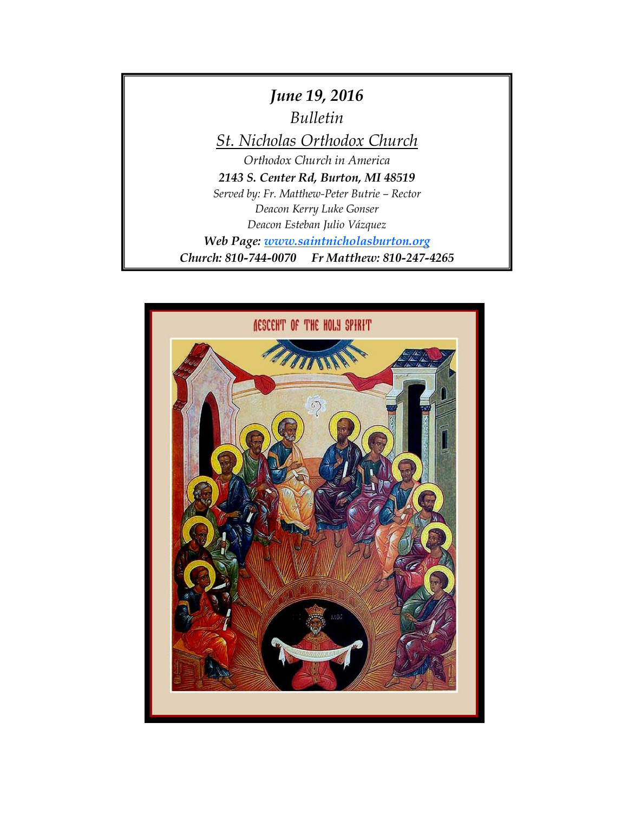

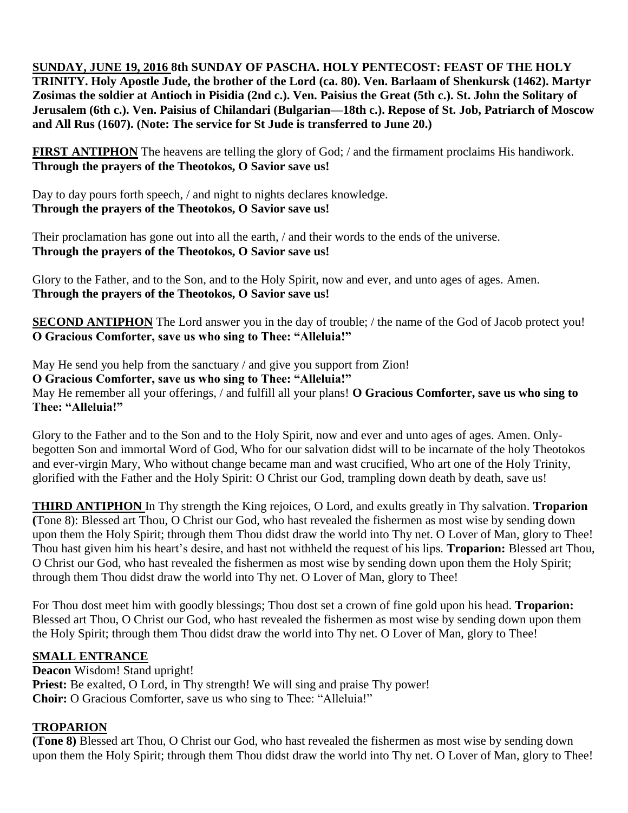**SUNDAY, JUNE 19, 2016 8th SUNDAY OF PASCHA. HOLY PENTECOST: FEAST OF THE HOLY TRINITY. Holy Apostle Jude, the brother of the Lord (ca. 80). Ven. Barlaam of Shenkursk (1462). Martyr Zosimas the soldier at Antioch in Pisidia (2nd c.). Ven. Paisius the Great (5th c.). St. John the Solitary of Jerusalem (6th c.). Ven. Paisius of Chilandari (Bulgarian—18th c.). Repose of St. Job, Patriarch of Moscow and All Rus (1607). (Note: The service for St Jude is transferred to June 20.)**

**FIRST ANTIPHON** The heavens are telling the glory of God; / and the firmament proclaims His handiwork. **Through the prayers of the Theotokos, O Savior save us!** 

Day to day pours forth speech, / and night to nights declares knowledge. **Through the prayers of the Theotokos, O Savior save us!** 

Their proclamation has gone out into all the earth, / and their words to the ends of the universe. **Through the prayers of the Theotokos, O Savior save us!** 

Glory to the Father, and to the Son, and to the Holy Spirit, now and ever, and unto ages of ages. Amen. **Through the prayers of the Theotokos, O Savior save us!** 

**SECOND ANTIPHON** The Lord answer you in the day of trouble; / the name of the God of Jacob protect you! **O Gracious Comforter, save us who sing to Thee: "Alleluia!"** 

May He send you help from the sanctuary / and give you support from Zion!

**O Gracious Comforter, save us who sing to Thee: "Alleluia!"** 

May He remember all your offerings, / and fulfill all your plans! **O Gracious Comforter, save us who sing to Thee: "Alleluia!"** 

Glory to the Father and to the Son and to the Holy Spirit, now and ever and unto ages of ages. Amen. Onlybegotten Son and immortal Word of God, Who for our salvation didst will to be incarnate of the holy Theotokos and ever-virgin Mary, Who without change became man and wast crucified, Who art one of the Holy Trinity, glorified with the Father and the Holy Spirit: O Christ our God, trampling down death by death, save us!

**THIRD ANTIPHON** In Thy strength the King rejoices, O Lord, and exults greatly in Thy salvation. **Troparion (**Tone 8): Blessed art Thou, O Christ our God, who hast revealed the fishermen as most wise by sending down upon them the Holy Spirit; through them Thou didst draw the world into Thy net. O Lover of Man, glory to Thee! Thou hast given him his heart's desire, and hast not withheld the request of his lips. **Troparion:** Blessed art Thou, O Christ our God, who hast revealed the fishermen as most wise by sending down upon them the Holy Spirit; through them Thou didst draw the world into Thy net. O Lover of Man, glory to Thee!

For Thou dost meet him with goodly blessings; Thou dost set a crown of fine gold upon his head. **Troparion:**  Blessed art Thou, O Christ our God, who hast revealed the fishermen as most wise by sending down upon them the Holy Spirit; through them Thou didst draw the world into Thy net. O Lover of Man, glory to Thee!

#### **SMALL ENTRANCE**

**Deacon** Wisdom! Stand upright! Priest: Be exalted, O Lord, in Thy strength! We will sing and praise Thy power! **Choir:** O Gracious Comforter, save us who sing to Thee: "Alleluia!"

## **TROPARION**

**(Tone 8)** Blessed art Thou, O Christ our God, who hast revealed the fishermen as most wise by sending down upon them the Holy Spirit; through them Thou didst draw the world into Thy net. O Lover of Man, glory to Thee!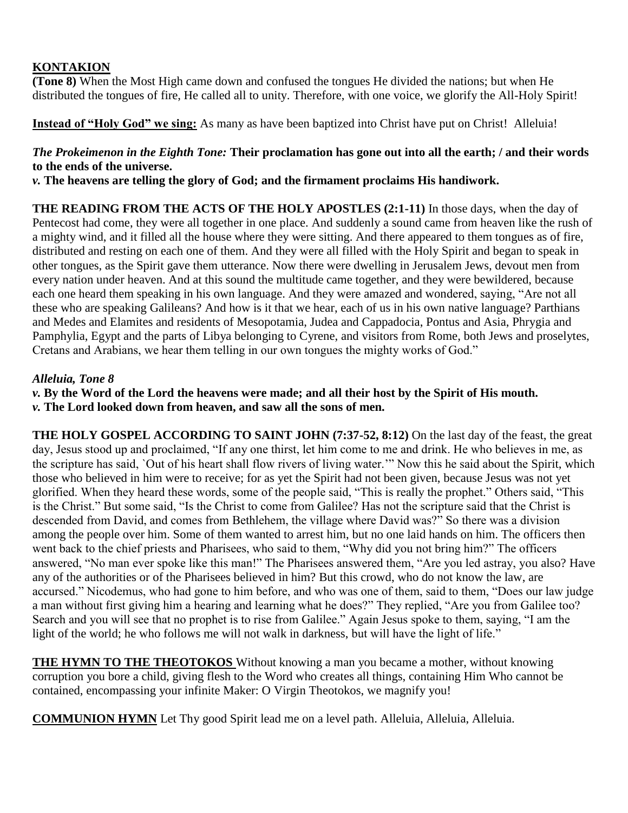# **KONTAKION**

**(Tone 8)** When the Most High came down and confused the tongues He divided the nations; but when He distributed the tongues of fire, He called all to unity. Therefore, with one voice, we glorify the All-Holy Spirit!

**Instead of "Holy God" we sing:** As many as have been baptized into Christ have put on Christ! Alleluia!

#### *The Prokeimenon in the Eighth Tone:* **Their proclamation has gone out into all the earth; / and their words to the ends of the universe.**

*v.* **The heavens are telling the glory of God; and the firmament proclaims His handiwork.** 

**THE READING FROM THE ACTS OF THE HOLY APOSTLES (2:1-11)** In those days, when the day of Pentecost had come, they were all together in one place. And suddenly a sound came from heaven like the rush of a mighty wind, and it filled all the house where they were sitting. And there appeared to them tongues as of fire, distributed and resting on each one of them. And they were all filled with the Holy Spirit and began to speak in other tongues, as the Spirit gave them utterance. Now there were dwelling in Jerusalem Jews, devout men from every nation under heaven. And at this sound the multitude came together, and they were bewildered, because each one heard them speaking in his own language. And they were amazed and wondered, saying, "Are not all these who are speaking Galileans? And how is it that we hear, each of us in his own native language? Parthians and Medes and Elamites and residents of Mesopotamia, Judea and Cappadocia, Pontus and Asia, Phrygia and Pamphylia, Egypt and the parts of Libya belonging to Cyrene, and visitors from Rome, both Jews and proselytes, Cretans and Arabians, we hear them telling in our own tongues the mighty works of God."

### *Alleluia, Tone 8*

*v.* **By the Word of the Lord the heavens were made; and all their host by the Spirit of His mouth.** 

*v.* **The Lord looked down from heaven, and saw all the sons of men***.* 

**THE HOLY GOSPEL ACCORDING TO SAINT JOHN (7:37-52, 8:12)** On the last day of the feast, the great day, Jesus stood up and proclaimed, "If any one thirst, let him come to me and drink. He who believes in me, as the scripture has said, `Out of his heart shall flow rivers of living water.'" Now this he said about the Spirit, which those who believed in him were to receive; for as yet the Spirit had not been given, because Jesus was not yet glorified. When they heard these words, some of the people said, "This is really the prophet." Others said, "This is the Christ." But some said, "Is the Christ to come from Galilee? Has not the scripture said that the Christ is descended from David, and comes from Bethlehem, the village where David was?" So there was a division among the people over him. Some of them wanted to arrest him, but no one laid hands on him. The officers then went back to the chief priests and Pharisees, who said to them, "Why did you not bring him?" The officers answered, "No man ever spoke like this man!" The Pharisees answered them, "Are you led astray, you also? Have any of the authorities or of the Pharisees believed in him? But this crowd, who do not know the law, are accursed." Nicodemus, who had gone to him before, and who was one of them, said to them, "Does our law judge a man without first giving him a hearing and learning what he does?" They replied, "Are you from Galilee too? Search and you will see that no prophet is to rise from Galilee." Again Jesus spoke to them, saying, "I am the light of the world; he who follows me will not walk in darkness, but will have the light of life."

**THE HYMN TO THE THEOTOKOS** Without knowing a man you became a mother, without knowing corruption you bore a child, giving flesh to the Word who creates all things, containing Him Who cannot be contained, encompassing your infinite Maker: O Virgin Theotokos, we magnify you!

**COMMUNION HYMN** Let Thy good Spirit lead me on a level path. Alleluia, Alleluia, Alleluia.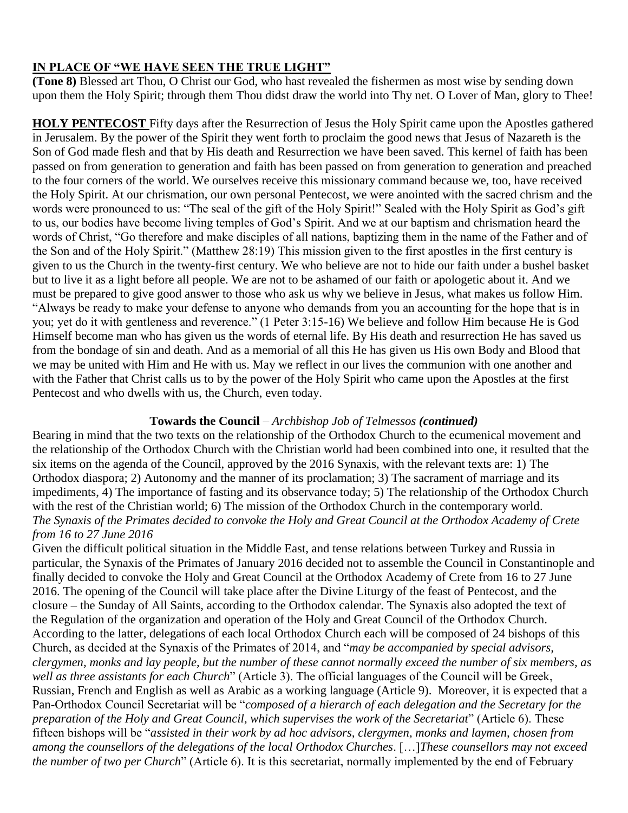## **IN PLACE OF "WE HAVE SEEN THE TRUE LIGHT"**

**(Tone 8)** Blessed art Thou, O Christ our God, who hast revealed the fishermen as most wise by sending down upon them the Holy Spirit; through them Thou didst draw the world into Thy net. O Lover of Man, glory to Thee!

**HOLY PENTECOST** Fifty days after the Resurrection of Jesus the Holy Spirit came upon the Apostles gathered in Jerusalem. By the power of the Spirit they went forth to proclaim the good news that Jesus of Nazareth is the Son of God made flesh and that by His death and Resurrection we have been saved. This kernel of faith has been passed on from generation to generation and faith has been passed on from generation to generation and preached to the four corners of the world. We ourselves receive this missionary command because we, too, have received the Holy Spirit. At our chrismation, our own personal Pentecost, we were anointed with the sacred chrism and the words were pronounced to us: "The seal of the gift of the Holy Spirit!" Sealed with the Holy Spirit as God's gift to us, our bodies have become living temples of God's Spirit. And we at our baptism and chrismation heard the words of Christ, "Go therefore and make disciples of all nations, baptizing them in the name of the Father and of the Son and of the Holy Spirit." (Matthew 28:19) This mission given to the first apostles in the first century is given to us the Church in the twenty-first century. We who believe are not to hide our faith under a bushel basket but to live it as a light before all people. We are not to be ashamed of our faith or apologetic about it. And we must be prepared to give good answer to those who ask us why we believe in Jesus, what makes us follow Him. "Always be ready to make your defense to anyone who demands from you an accounting for the hope that is in you; yet do it with gentleness and reverence." (1 Peter 3:15-16) We believe and follow Him because He is God Himself become man who has given us the words of eternal life. By His death and resurrection He has saved us from the bondage of sin and death. And as a memorial of all this He has given us His own Body and Blood that we may be united with Him and He with us. May we reflect in our lives the communion with one another and with the Father that Christ calls us to by the power of the Holy Spirit who came upon the Apostles at the first Pentecost and who dwells with us, the Church, even today.

#### **Towards the Council** – *Archbishop Job of Telmessos (continued)*

Bearing in mind that the two texts on the relationship of the Orthodox Church to the ecumenical movement and the relationship of the Orthodox Church with the Christian world had been combined into one, it resulted that the six items on the agenda of the Council, approved by the 2016 Synaxis, with the relevant texts are: 1) [The](https://www.holycouncil.org/-/diaspora?inheritRedirect=true&redirect=%2Fhome&_101_INSTANCE_M8gWCQe69nZW_languageId=en_US)  [Orthodox diaspora;](https://www.holycouncil.org/-/diaspora?inheritRedirect=true&redirect=%2Fhome&_101_INSTANCE_M8gWCQe69nZW_languageId=en_US) 2) [Autonomy and the manner of its proclamation;](https://www.holycouncil.org/-/autonomy?inheritRedirect=true&redirect=%2Fhome&_101_INSTANCE_M8gWCQe69nZW_languageId=en_US) 3) [The sacrament of marriage and its](https://www.holycouncil.org/-/marriage?inheritRedirect=true&redirect=%2Fhome&_101_INSTANCE_M8gWCQe69nZW_languageId=en_US)  [impediments,](https://www.holycouncil.org/-/marriage?inheritRedirect=true&redirect=%2Fhome&_101_INSTANCE_M8gWCQe69nZW_languageId=en_US) 4) [The importance of fasting](https://www.holycouncil.org/-/fasting?inheritRedirect=true&redirect=%2Fhome&_101_INSTANCE_M8gWCQe69nZW_languageId=en_US) and its observance today; 5) [The relationship of the Orthodox Church](https://www.holycouncil.org/-/rest-of-christian-world?inheritRedirect=true&redirect=%2Fhome&_101_INSTANCE_M8gWCQe69nZW_languageId=en_US)  [with the rest of the Christian world;](https://www.holycouncil.org/-/rest-of-christian-world?inheritRedirect=true&redirect=%2Fhome&_101_INSTANCE_M8gWCQe69nZW_languageId=en_US) 6) [The mission of the Orthodox Church in the contemporary world.](https://www.holycouncil.org/-/mission-orthodox-church-todays-world?inheritRedirect=true&redirect=%2Fhome&_101_INSTANCE_M8gWCQe69nZW_languageId=en_US) *The Synaxis of the Primates decided to convoke the Holy and Great Council at the Orthodox Academy of Crete from 16 to 27 June 2016*

Given the difficult political situation in the Middle East, and tense relations between Turkey and Russia in particular, the Synaxis of the Primates of January 2016 decided not to assemble the Council in Constantinople and finally decided to convoke the Holy and Great Council at the Orthodox Academy of Crete from 16 to 27 June 2016. The opening of the Council will take place after the Divine Liturgy of the feast of Pentecost, and the closure – the Sunday of All Saints, according to the Orthodox calendar. The Synaxis also adopted the text of the [Regulation of the organization and operation of the](https://www.holycouncil.org/pre-conciliar-documents/-/asset_publisher/M8gWCQe69nZW/content/procedures?_101_INSTANCE_M8gWCQe69nZW_languageId=en_US) Holy and Great Council of the Orthodox Church. According to the latter, delegations of each local Orthodox Church each will be composed of 24 bishops of this Church, as decided at the Synaxis of the Primates of 2014, and "*may be accompanied by special advisors, clergymen, monks and lay people, but the number of these cannot normally exceed the number of six members, as well as three assistants for each Church*" (Article 3). The official languages of the Council will be Greek, Russian, French and English as well as Arabic as a working language (Article 9). Moreover, it is expected that a Pan-Orthodox Council Secretariat will be "*composed of a hierarch of each delegation and the Secretary for the preparation of the Holy and Great Council, which supervises the work of the Secretariat*" (Article 6). These fifteen bishops will be "*assisted in their work by ad hoc advisors, clergymen, monks and laymen, chosen from among the counsellors of the delegations of the local Orthodox Churches*. […]*These counsellors may not exceed the number of two per Church*" (Article 6). It is this secretariat, normally implemented by the end of February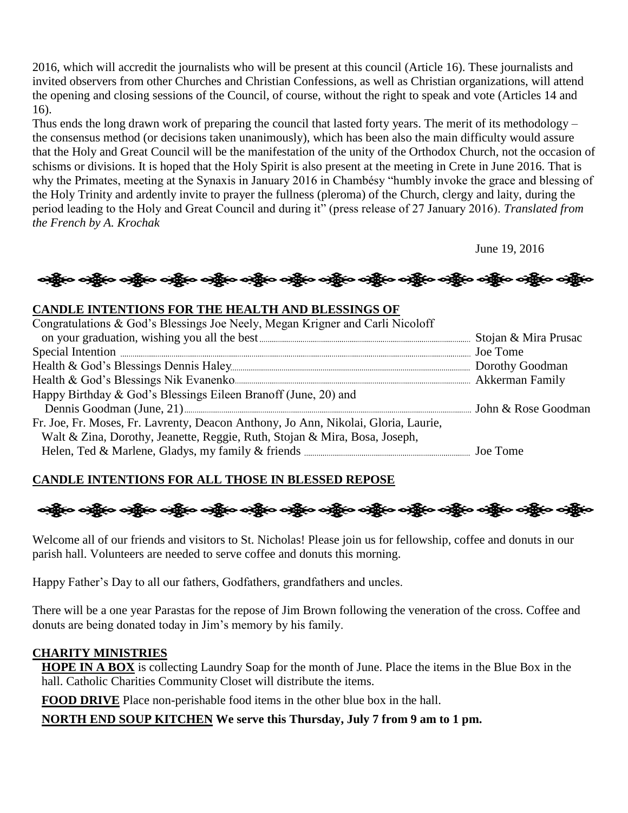2016, which will accredit the journalists who will be present at this council (Article 16). These journalists and invited observers from other Churches and Christian Confessions, as well as Christian organizations, will attend the opening and closing sessions of the Council, of course, without the right to speak and vote (Articles 14 and 16).

Thus ends the long drawn work of preparing the council that lasted forty years. The merit of its methodology – the consensus method (or decisions taken unanimously), which has been also the main difficulty would assure that the Holy and Great Council will be the manifestation of the unity of the Orthodox Church, not the occasion of schisms or divisions. It is hoped that the Holy Spirit is also present at the meeting in Crete in June 2016. That is why the Primates, meeting at the Synaxis in January 2016 in Chambésy "humbly invoke the grace and blessing of the Holy Trinity and ardently invite to prayer the fullness (pleroma) of the Church, clergy and laity, during the period leading to the Holy and Great Council and during it" (press release of 27 January 2016). *Translated from the French by A. Krochak*

June 19, 2016



#### **CANDLE INTENTIONS FOR THE HEALTH AND BLESSINGS OF**

| Congratulations & God's Blessings Joe Neely, Megan Krigner and Carli Nicoloff      |  |
|------------------------------------------------------------------------------------|--|
|                                                                                    |  |
|                                                                                    |  |
|                                                                                    |  |
|                                                                                    |  |
| Happy Birthday & God's Blessings Eileen Branoff (June, 20) and                     |  |
|                                                                                    |  |
| Fr. Joe, Fr. Moses, Fr. Lavrenty, Deacon Anthony, Jo Ann, Nikolai, Gloria, Laurie, |  |
| Walt & Zina, Dorothy, Jeanette, Reggie, Ruth, Stojan & Mira, Bosa, Joseph,         |  |
|                                                                                    |  |
|                                                                                    |  |

## **CANDLE INTENTIONS FOR ALL THOSE IN BLESSED REPOSE**

ခရွို့လ ခရွို့လ ခရွို့လ ခရွို့လ ခရွို့လ ခရွို့လ ခရွို့လ ခရွို့လ ခရွို့လ ခရွို့လ ခရွို့လ ခရွို့လ ခရွို့လ ခရွို့လ

Welcome all of our friends and visitors to St. Nicholas! Please join us for fellowship, coffee and donuts in our parish hall. Volunteers are needed to serve coffee and donuts this morning.

Happy Father's Day to all our fathers, Godfathers, grandfathers and uncles.

There will be a one year Parastas for the repose of Jim Brown following the veneration of the cross. Coffee and donuts are being donated today in Jim's memory by his family.

#### **CHARITY MINISTRIES**

**HOPE IN A BOX** is collecting Laundry Soap for the month of June. Place the items in the Blue Box in the hall. Catholic Charities Community Closet will distribute the items.

**FOOD DRIVE** Place non-perishable food items in the other blue box in the hall.

**NORTH END SOUP KITCHEN We serve this Thursday, July 7 from 9 am to 1 pm.**